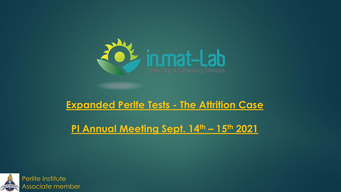

### **Expanded Perlte Tests - The Attrition Case**

**PI Annual Meeting Sept. 14th – 15th 2021**

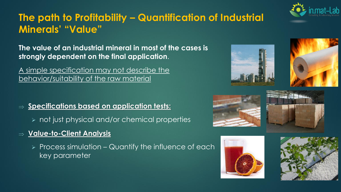

# **The path to Profitability – Quantification of Industrial Minerals' "Value"**

**The value of an industrial mineral in most of the cases is strongly dependent on the final application**.

A simple specification may not describe the behavior/suitability of the raw material

- $\Rightarrow$  <u>Specifications based on application tests:</u>
	- ➢ not just physical and/or chemical properties
- **Value-to-Client Analysis**
	- $\triangleright$  Process simulation Quantify the influence of each key parameter











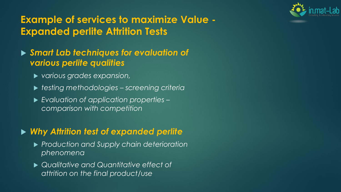

# **Example of services to maximize Value - Expanded perlite Attrition Tests**

#### *Smart Lab techniques for evaluation of various perlite qualities*

- *various grades expansion,*
- *testing methodologies – screening criteria*
- *Evaluation of application properties – comparison with competition*

### *Why Attrition test of expanded perlite*

- *Production and Supply chain deterioration phenomena*
- *Qualitative and Quantitative effect of attrition on the final product/use*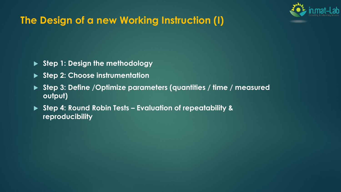

# **The Design of a new Working Instruction (I)**

- **Step 1: Design the methodology**
- **Step 2: Choose instrumentation**
- **Step 3: Define /Optimize parameters (quantities / time / measured output)**
- **Step 4: Round Robin Tests – Evaluation of repeatability & reproducibility**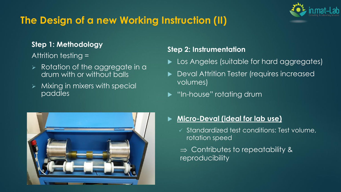# **The Design of a new Working Instruction (II)**

#### **Step 1: Methodology**

Attrition testing =

- ➢ Rotation of the aggregate in a drum with or without balls
- ➢ Mixing in mixers with special paddles



#### **Step 2: Instrumentation**

- Los Angeles (suitable for hard aggregates)
- Deval Attrition Tester (requires increased volumes)
- **>** "In-house" rotating drum
- **Micro-Deval (ideal for lab use)**
	- ✓ Standardized test conditions: Test volume, rotation speed
	- $\Rightarrow$  Contributes to repeatability & reproducibility

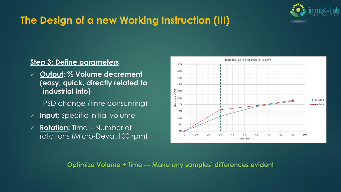

# **The Design of a new Working Instruction (III)**

#### **Step 3: Define parameters**

- ✓ **Output: % Volume decrement (easy, quick, directly related to industrial info)**
	- PSD change (time consuming)
- ✓ **Input:** Specific initial volume
- ✓ **Rotation:** Time Number of rotations (Micro-Deval:100 rpm)



**Optimize Volume + Time → Make any samples' differences evident**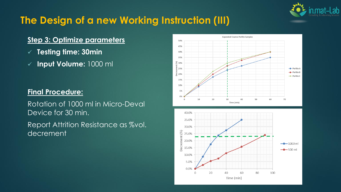

# **The Design of a new Working Instruction (III)**

#### **Step 3: Optimize parameters**

- ✓ **Testing time: 30min**
- ✓ **Input Volume:** 1000 ml

#### **Final Procedure:**

Rotation of 1000 ml in Micro-Deval Device for 30 min.

Report Attrition Resistance as %vol. decrement

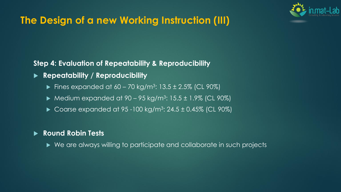

# **The Design of a new Working Instruction (III)**

**Step 4: Evaluation of Repeatability & Reproducibility**

- **Repeatability / Reproducibility**
	- Fines expanded at  $60 70$  kg/m<sup>3</sup>:  $13.5 \pm 2.5\%$  (CL 90%)
	- ▶ Medium expanded at  $90 95$  kg/m<sup>3</sup>:  $15.5 \pm 1.9\%$  (CL  $90\%$ )
	- ▶ Coarse expanded at  $95 100$  kg/m<sup>3</sup>:  $24.5 \pm 0.45\%$  (CL  $90\%$ )

#### **Round Robin Tests**

▶ We are always willing to participate and collaborate in such projects